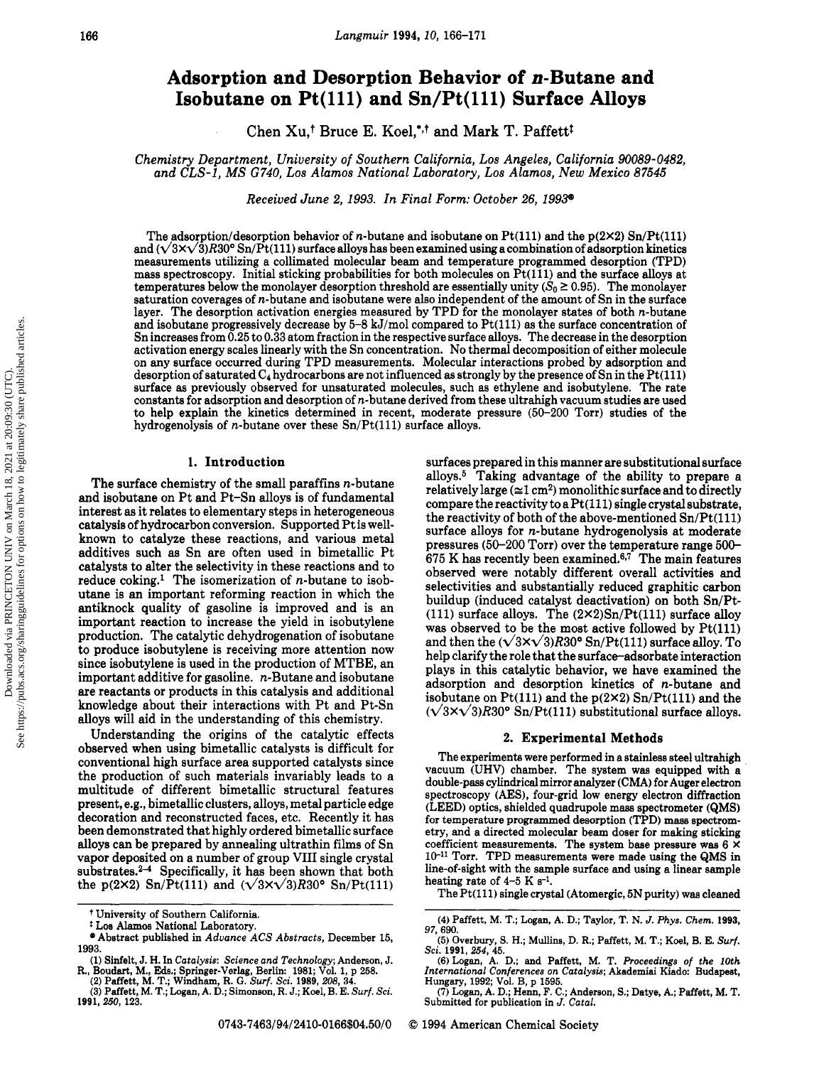Downloaded via PRINCETON UNIV on March 18, 2021 at 20:09:30 (UTC).<br>See https://pubs.acs.org/sharingguidelines for options on how to legitimately share published articles See https://pubs.acs.org/sharingguidelines for options on how to legitimately share published articles.Downloaded via PRINCETON UNIV on March 18, 2021 at 20:09:30 (UTC).

# Adsorption and Desorption Behavior of n-Butane and Isobutane on Pt(lll) and Sn/Pt(lll) Surface Alloys

Chen Xu,<sup>†</sup> Bruce E. Koel,<sup>\*,†</sup> and Mark T. Paffett<sup>†</sup>

Chemistry Department, University of Southern California, Los Angeles, California 90089-0482, and CLS-1, MS G740, Los Alamos National Laboratory, Los Alamos, New Mexico 87545

Received June 2, 1993. In Final Form: October 26, 1993\*

The adsorption/desorption behavior of *n*-butane and isobutane on  $Pt(111)$  and the  $p(2\times2)$  Sn/Pt(111) and  $(\sqrt{3}x\sqrt{3})R30^{\circ}$  Sn/Pt(111) surface alloys has been examined using a combination of adsorption kinetics measurements utilizing <sup>a</sup> collimated molecular beam and temperature programmed desorption (TPD) mass spectroscopy. Initial sticking probabilities for both molecules on  $Pt(111)$  and the surface alloys at temperatures below the monolayer desorption threshold are essentially unity ( $S_0 \ge 0.95$ ). The monolayer saturation coverages of n-butane and isobutane were also independent of the amount of Sn in the surface layer. The desorption activation energies measured by TPD for the monolayer states of both n-butane and isobutane progressively decrease by  $5-8$  kJ/mol compared to  $Pt(111)$  as the surface concentration of Sn increases from 0.25 to 0.33 atom fraction in the respective surface alloys. The decrease in the desorption activation energy scales linearly with the Sn concentration. No thermal decomposition of either molecule on any surface occurred during TPD measurements. Molecular interactions probed by adsorption and desorption of saturated  $C_4$  hydrocarbons are not influenced as strongly by the presence of Sn in the Pt(111) surface as previously observed for unsaturated molecules, such as ethylene and isobutylene. The rate constants for adsorption and desorption of  $n$ -butane derived from these ultrahigh vacuum studies are used to help explain the kinetics determined in recent, moderate pressure (50-200 Torr) studies of the hydrogenolysis of *n*-butane over these  $Sn/Pt(111)$  surface alloys.

### 1. Introduction

The surface chemistry of the small paraffins n-butane and isobutane on Pt and Pt-Sn alloys is of fundamental interest as it relates to elementary steps in heterogeneous catalysis of hydrocarbon conversion. Supported Pt is wellknown to catalyze these reactions, and various metal additives such as Sn are often used in bimetallic Pt catalysts to alter the selectivity in these reactions and to reduce  $\text{coling}^1$ . The isomerization of *n*-butane to isobutane is an important reforming reaction in which the antiknock quality of gasoline is improved and is an important reaction to increase the yield in isobutylene production. The catalytic dehydrogenation of isobutane to produce isobutylene is receiving more attention now since isobutylene is used in the production of MTBE, an important additive for gasoline. n-Butane and isobutane are reactants or products in this catalysis and additional knowledge about their interactions with Pt and Pt-Sn alloys will aid in the understanding of this chemistry.

Understanding the origins of the catalytic effects observed when using bimetallic catalysts is difficult for conventional high surface area supported catalysts since the production of such materials invariably leads to <sup>a</sup> multitude of different bimetallic structural features present, e.g., bimetallic clusters, alloys, metal particle edge decoration and reconstructed faces, etc. Recently it has been demonstrated that highly ordered bimetallic surface alloys can be prepared by annealing ultrathin films of Sn vapor deposited on <sup>a</sup> number of group VIII single crystal substrates.<sup>2-4</sup> Specifically, it has been shown that both the p(2×2) Sn/Pt(111) and  $(\sqrt{3}x\sqrt{3})R30^{\circ}$  Sn/Pt(111) surfaces prepared in this manner are substitutional surface alloys.<sup>5</sup> Taking advantage of the ability to prepare a relatively large  $(\approx 1 \text{ cm}^2)$  monolithic surface and to directly compare the reactivity to a  $Pt(111)$  single crystal substrate, the reactivity of both of the above-mentioned  $Sn/Pt(111)$ surface alloys for n-butane hydrogenolysis at moderate pressures (50-200 Torr) over the temperature range 500- 675 K has recently been examined.6·7 The main features observed were notably different overall activities and selectivities and substantially reduced graphitic carbon buildup (induced catalyst deactivation) on both Sn/Pt- (111) surface alloys. The  $(2\times2)Sn/Pt(111)$  surface alloy was observed to be the most active followed by  $Pt(111)$ and then the  $(\sqrt{3}x\sqrt{3})R30^{\circ}$  Sn/Pt(111) surface alloy. To help clarify the role that the surface-adsorbate interaction plays in this catalytic behavior, we have examined the adsorption and desorption kinetics of n-butane and isobutane on  $Pt(111)$  and the  $p(2\times2)$  Sn/Pt(111) and the  $(\sqrt{3}x\sqrt{3})R30^{\circ}$  Sn/Pt(111) substitutional surface alloys.

#### 2. Experimental Methods

The experiments were performed in <sup>a</sup> stainless steel ultrahigh vacuum (UHV) chamber. The system was equipped with <sup>a</sup> double-pass cylindrical mirror analyzer (CMA) for Auger electron spectroscopy (AES), four-grid low energy electron diffraction (LEED) optics, shielded quadrupole mass spectrometer (QMS) for temperature programmed desorption (TPD) mass spectrometry, and <sup>a</sup> directed molecular beam doser for making sticking coefficient measurements. The system base pressure was  $6 \times$ 10-11 Torr. TPD measurements were made using the QMS in line-of-sight with the sample surface and using <sup>a</sup> linear sample heating rate of  $4-5$  K s<sup>-1</sup>.

The Pt(lll) single crystal (Atomergic, 5N purity) was cleaned

<sup>t</sup> University of Southern California,

<sup>t</sup> Los Alamos National Laboratory.

<sup>•</sup> Abstract published in Advance ACS Abstracts, December 15, 1993.

<sup>(1)</sup> Sinfelt, J. H. In Catalysis: Science and Technology; Anderson, J.<br>R., Boudart, M., Eds.; Springer-Verlag, Berlin: 1981; Vol. 1, p 258.<br>(2) Paffett, M. T.; Windham, R. G. Surf. Sci. 1989, 208, 34.<br>(3) Paffett, M. T.; Lo

<sup>1991,</sup> 250, 123.

<sup>(4)</sup> Paffett, M. T.; Logan, A. D.; Taylor, T. N. J. Phys. Chem. 1993, 97, 690.

<sup>(5)</sup> Overbury, S. H.; Mullins, D. R.; Paffett, M. T.; Koel, B. E. Surf.

Sci. 1991, 254, 45.<br>
(6) Logan, A. D.; and Paffett, M. T. *Proceedings of the 10th*<br>International Conferences on Catalysis; Akademiai Kiado: Budapest, Hungary, 1992; Vol. B, p 1595.

<sup>(7)</sup> Logan, A. D.; Henn, F. C.; Anderson, S.; Datye, A.; Paffett, M. T. Submitted for publication in J. Catal.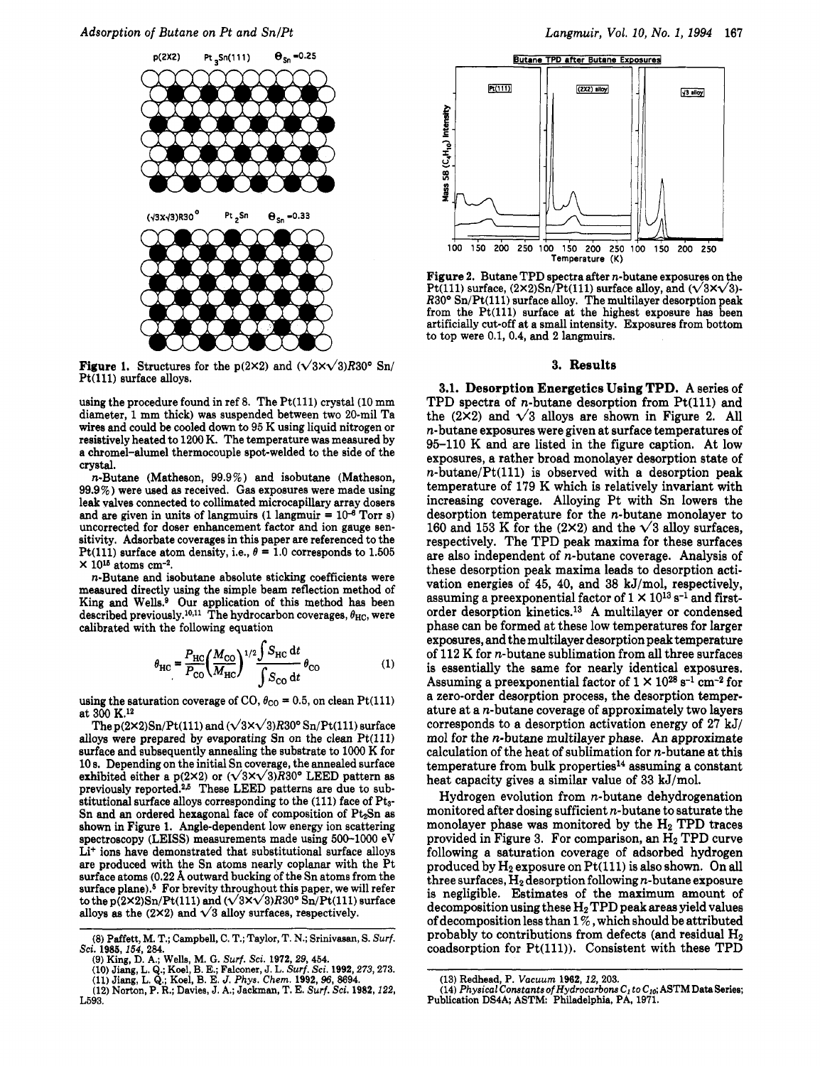Adsorption of Butane on Pt and Sn/Pt Langmuir, Vol. 10, No. 1, 1994 167



**Figure 1.** Structures for the p(2×2) and  $(\sqrt{3}x\sqrt{3})R30^{\circ}$  Sn/ Pt(lll) surface alloys.

using the procedure found in ref 8. The  $Pt(111)$  crystal  $(10 \text{ mm})$ diameter, <sup>1</sup> mm thick) was suspended between two 20-mil Ta wires and could be cooled down to <sup>95</sup> K using liquid nitrogen or resistively heated to 1200 K. The temperature was measured by <sup>a</sup> chromel-alumel thermocouple spot-welded to the side of the crystal.

n-Butane (Matheson, 99.9%) and isobutane (Matheson, 99.9%) were used as received. Gas exposures were made using leak valves connected to collimated microcapillary array dosers and are given in units of langmuirs (1 langmuir =  $10^{-6}$  Torr s) uncorrected for doser enhancement factor and ion gauge sensitivity. Adsorbate coverages in this paper are referenced to the Pt(111) surface atom density, i.e.,  $\theta = 1.0$  corresponds to 1.505  $\times$  10<sup>15</sup> atoms cm<sup>-2</sup>.

n-Butane and isobutane absolute sticking coefficients were measured directly using the simple beam reflection method of King and Wells.<sup>9</sup> Our application of this method has been described previously.<sup>10,11</sup> The hydrocarbon coverages,  $\theta_{HC}$ , were calibrated with the following equation

$$
\theta_{\rm HC} = \frac{P_{\rm HC}}{P_{\rm CO}} \left(\frac{M_{\rm CO}}{M_{\rm HC}}\right)^{1/2} \frac{\int S_{\rm HC} dt}{\int S_{\rm CO} dt} \theta_{\rm CO}
$$
 (1)

using the saturation coverage of CO,  $\theta_{\text{CO}} = 0.5$ , on clean Pt(111) at 300 K.12

The  $p(2\times2)Sn/Pt(111)$  and  $(\sqrt{3\times}\sqrt{3})R30^{\circ}Sn/Pt(111)$  surface alloys were prepared by evaporating  $Sn$  on the clean  $Pt(111)$ surface and subsequently annealing the substrate to <sup>1000</sup> K for <sup>10</sup> s. Depending on the initial Sn coverage, the annealed surface exhibited either a p(2×2) or  $(\sqrt{3}x\sqrt{3})R30^{\circ}$  LEED pattern as previously reported.<sup>2,5</sup> These LEED patterns are due to substitutional surface alloys corresponding to the (111) face of Pts-Sn and an ordered hexagonal face of composition of  $Pt<sub>2</sub>Sn$  as shown in Figure 1. Angle-dependent low energy ion scattering spectroscopy (LEISS) measurements made using 500-1000 eV Li<sup>+</sup> ions have demonstrated that substitutional surface alloys are produced with the Sn atoms nearly coplanar with the Pt surface atoms (0.22 Á outward bucking of the Sn atoms from the surface plane).<sup>5</sup> For brevity throughout this paper, we will refer to the p(2×2)Sn/Pt(111) and  $(\sqrt{3x}\sqrt{3})R30^{\circ}$  Sn/Pt(111) surface alloys as the (2×2) and  $\sqrt{3}$  alloy surfaces, respectively.



Figure 2. Butane TPD spectra after n-butane exposures on the Pt(111) surface,  $(2 \times 2)$ Sn/Pt(111) surface alloy, and  $(\sqrt{3} \times \sqrt{3})$ - $R30^{\circ}$  Sn/Pt(111) surface alloy. The multilayer desorption peak from the Pt(lll) surface at the highest exposure has been artificially cut-off at <sup>a</sup> small intensity. Exposures from bottom to top were 0.1, 0.4, and <sup>2</sup> langmuirs.

#### 3. Results

3.1. Desorption Energetics Using TPD. A series of TPD spectra of  $n$ -butane desorption from  $Pt(111)$  and the (2×2) and  $\sqrt{3}$  alloys are shown in Figure 2. All n-butane exposures were given at surface temperatures of 95-110 K and are listed in the figure caption. At low exposures, <sup>a</sup> rather broad monolayer desorption state of  $n$ -butane/Pt(111) is observed with a desorption peak temperature of <sup>179</sup> K which is relatively invariant with increasing coverage. Alloying Pt with Sn lowers the desorption temperature for the n-butane monolayer to 160 and 153 K for the (2×2) and the  $\sqrt{3}$  alloy surfaces, respectively. The TPD peak maxima for these surfaces are also independent of n-butane coverage. Analysis of these desorption peak maxima leads to desorption activation energies of 45, 40, and 38 kJ/mol, respectively, assuming a preexponential factor of  $1 \times 10^{13}$  s<sup>-1</sup> and firstorder desorption kinetics.13 A multilayer or condensed phase can be formed at these low temperatures for larger exposures, and the multilayer desorption peak temperature of 112 K for n-butane sublimation from all three surfaces is essentially the same for nearly identical exposures. Assuming a preexponential factor of  $1 \times 10^{28}$  s<sup>-1</sup> cm<sup>-2</sup> for <sup>a</sup> zero-order desorption process, the desorption temperature at <sup>a</sup> n-butane coverage of approximately two layers corresponds to <sup>a</sup> desorption activation energy of 27 kJ/ mol for the n-butane multilayer phase. An approximate calculation of the heat of sublimation for n-butane at this  $temperature from bulk properties<sup>14</sup> assuming a constant$ heat capacity gives <sup>a</sup> similar value of 33 kJ/mol.

Hydrogen evolution from n-butane dehydrogenation monitored after dosing sufficient n-butane to saturate the monolayer phase was monitored by the  $H_2$  TPD traces provided in Figure 3. For comparison, an  $H_2$  TPD curve following <sup>a</sup> saturation coverage of adsorbed hydrogen produced by  $H_2$  exposure on  $Pt(111)$  is also shown. On all three surfaces,  $H_2$  desorption following *n*-butane exposure is negligible. Estimates of the maximum amount of decomposition using these  $H_2$  TPD peak areas yield values of decomposition less than  $1\%$ , which should be attributed probably to contributions from defects (and residual H<sub>2</sub> coadsorption for Pt(lll)). Consistent with these TPD

<sup>(8)</sup> Paffett, M. T.; Campbell, C. T.; Taylor, T. N.; Srinivasan, S. Surf. Sci. 1985,154, 284.

<sup>(9)</sup> King, D. A.; Wells, M. G. Surf. Sci. 1972,29, 454.

<sup>(10)</sup> Jiang, L. Q.; Koel, B. E.; Falconer, J. L. Surf. Sci. 1992, 273, 273.<br>(11) Jiang, L. Q.; Koel, B. E. J. Phys. Chem. 1992, 96, 8694.

<sup>(12)</sup> Norton, P. R.; Davies, J. A.; Jackman, T. E. Surf. Sci. 1982,122, L593.

<sup>(13)</sup> Redhead, P. Vacuum 1962,12, 203.

<sup>(14)</sup> Physical Constants of Hydrocarbons  $C<sub>1</sub>$  to  $C<sub>10</sub>$ ; ASTM Data Series; Publication DS4A; ASTM: Philadelphia, PA, 1971.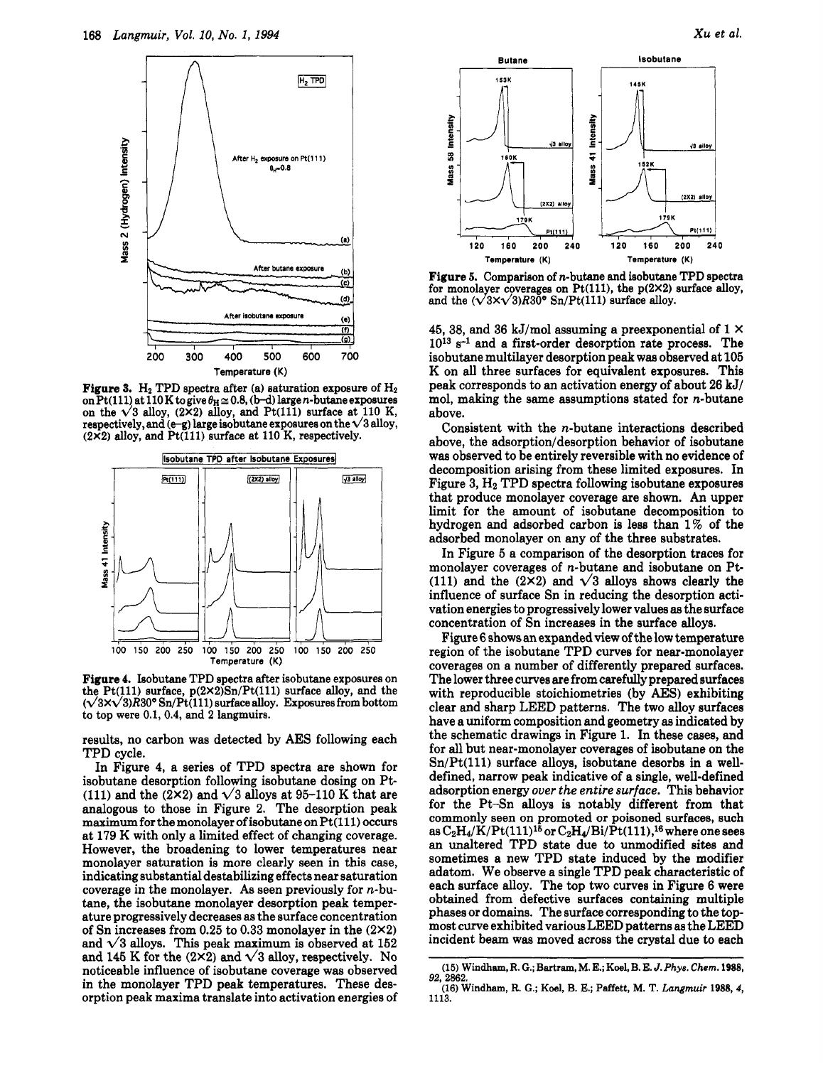

**Figure 3.** H<sub>2</sub> TPD spectra after (a) saturation exposure of  $H_2$ on Pt(111) at 110 K to give  $\theta_H \approx 0.8$ , (b-d) large *n*-butane exposures on the  $\sqrt{3}$  alloy, (2X2) alloy, and Pt(111) surface at 110 K, respectively, and  $(e-g)$  large isobutane exposures on the  $\sqrt{3}$  alloy,  $(2\times2)$  alloy, and Pt(111) surface at 110 K, respectively.



Figure 4. Isobutane TPD spectra after isobutane exposures on the Pt(111) surface,  $p(2 \times 2)$ Sn/Pt(111) surface alloy, and the  $(\sqrt{3}x\sqrt{3})R30^{\circ}\operatorname{Sn}/\operatorname{Pt}(111)$  surface alloy. Exposures from bottom to top were 0.1, 0.4, and <sup>2</sup> langmuirs.

results, no carbon was detected by AES following each TPD cycle.

In Figure 4, <sup>a</sup> series of TPD spectra are shown for isobutane desorption following isobutane dosing on Pt- (111) and the (2×2) and  $\sqrt{3}$  alloys at 95-110 K that are analogous to those in Figure 2. The desorption peak maximum for the monolayer of isobutane on Pt(111) occurs at <sup>179</sup> K with only <sup>a</sup> limited effect of changing coverage. However, the broadening to lower temperatures near monolayer saturation is more clearly seen in this case, indicating substantial destabilizing effects near saturation coverage in the monolayer. As seen previously for  $n$ -butane, the isobutane monolayer desorption peak temperature progressively decreases as the surface concentration of Sn increases from 0.25 to 0.33 monolayer in the  $(2\times2)$ and  $\sqrt{3}$  alloys. This peak maximum is observed at 152 and 145 K for the (2×2) and  $\sqrt{3}$  alloy, respectively. No noticeable influence of isobutane coverage was observed in the monolayer TPD peak temperatures. These desorption peak maxima translate into activation energies of



1791 Pt(111) 240 120 160 200 240 120 160 200 Temperature (K) Temperature (K) Figure 5. Comparison of n-butane and isobutane TPD spectra for monolayer coverages on Pt(111), the  $p(2\times2)$  surface alloy,

45, 38, and 36 kJ/mol assuming a preexponential of  $1 \times$ <sup>1013</sup> s-1 and <sup>a</sup> first-order desorption rate process. The isobutane multilayer desorption peak was observed at 105 K on all three surfaces for equivalent exposures. This peak corresponds to an activation energy of about 26 kJ/ mol, making the same assumptions stated for  $n$ -butane above.

and the  $(\sqrt{3}x\sqrt{3})R30^{\circ}$  Sn/Pt(111) surface alloy.

 $(2X2)$  allow

Intensity

ន្ល

Mass

Consistent with the n-butane interactions described above, the adsorption/desorption behavior of isobutane was observed to be entirely reversible with no evidence of decomposition arising from these limited exposures. In Figure 3,  $H_2$  TPD spectra following isobutane exposures that produce monolayer coverage are shown. An upper limit for the amount of isobutane decomposition to hydrogen and adsorbed carbon is less than 1% of the adsorbed monolayer on any of the three substrates.

In Figure <sup>5</sup> <sup>a</sup> comparison of the desorption traces for monolayer coverages of n-butane and isobutane on Pt- (111) and the (2 $\times$ 2) and  $\times$ 3 alloys shows clearly the influence of surface Sn in reducing the desorption activation energies to progressively lower values as the surface concentration of Sn increases in the surface alloys.

Figure <sup>6</sup> shows an expanded view of the low temperature region of the isobutane TPD curves for near-monolayer coverages on <sup>a</sup> number of differently prepared surfaces. The lower three curves are from carefully prepared surfaces with reproducible stoichiometries (by AES) exhibiting clear and sharp LEED patterns. The two alloy surfaces have <sup>a</sup> uniform composition and geometry as indicated by the schematic drawings in Figure 1. In these cases, and for all but near-monolayer coverages of isobutane on the  $Sn/Pt(111)$  surface alloys, isobutane desorbs in a welldefined, narrow peak indicative of <sup>a</sup> single, well-defined adsorption energy over the entire surface. This behavior for the Pt-Sn alloys is notably different from that commonly seen on promoted or poisoned surfaces, such as  $C_2H_4/K/Pt(111)^{15}$  or  $C_2H_4/Bi/\dot{P}t(111),^{16}$  where one sees an unaltered TPD state due to unmodified sites and sometimes <sup>a</sup> new TPD state induced by the modifier adatom. We observe <sup>a</sup> single TPD peak characteristic of each surface alloy. The top two curves in Figure <sup>6</sup> were obtained from defective surfaces containing multiple phases or domains. The surface corresponding to the topmost curve exhibited various LEED patterns as the LEED incident beam was moved across the crystal due to each

<sup>(15)</sup> Windham, R. G.; Bartram, M. E.; Koel, B. E. J. Phys. Chem. 1988, 92, 2862.

<sup>(16)</sup> Windham, R. G.; Koel, B. E.; Paffett, M. T. Langmuir 1988, 4, 1113.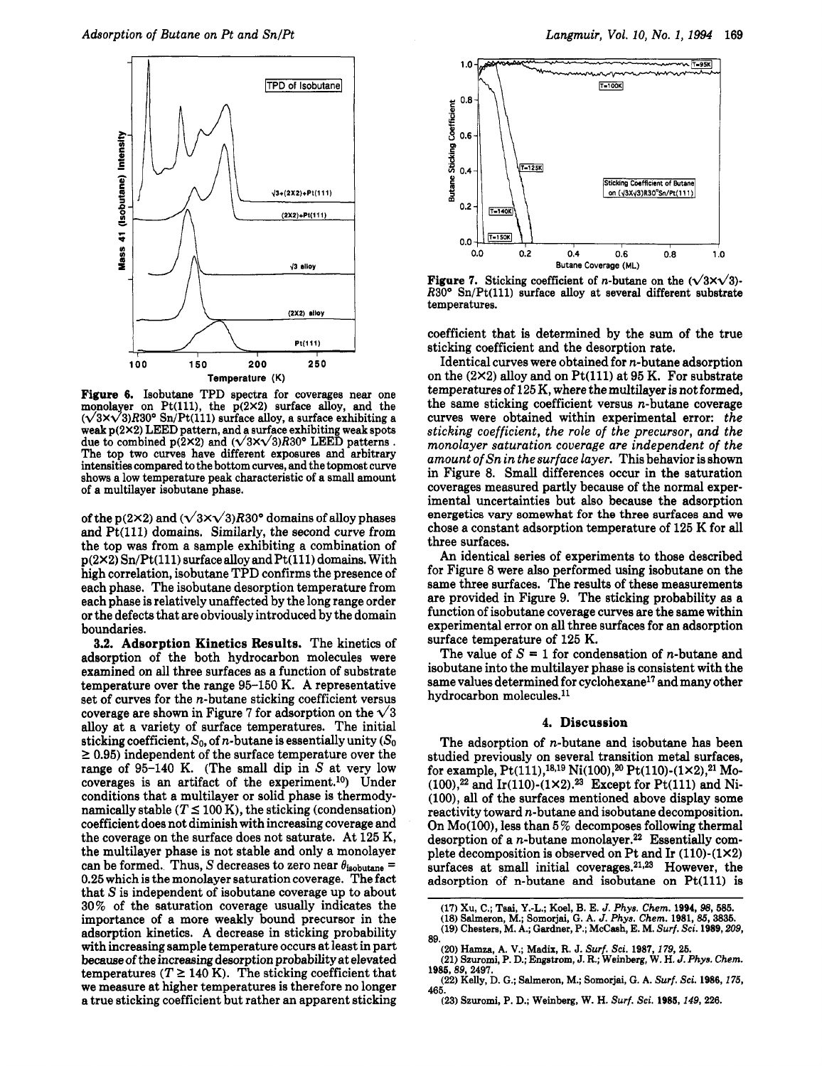

Figure 6. Isobutane TPD spectra for coverages near one monolayer on Pt(111), the  $p(2\times2)$  surface alloy, and the  $(\sqrt{3}x\sqrt{3})R30^{\circ}$  Sn/Pt(111) surface alloy, a surface exhibiting a weak p(2x2) LEED pattern, and <sup>a</sup> surface exhibiting weak spots due to combined  $p(2\times2)$  and  $(\sqrt{3\times}\sqrt{3})R30^{\circ}$  LEED patterns. The top two curves have different exposures and arbitrary intensities compared to the bottom curves, and the topmost curve shows <sup>a</sup> low temperature peak characteristic of <sup>a</sup> small amount of <sup>a</sup> multilayer isobutane phase.

of the p(2×2) and  $(\sqrt{3}x\sqrt{3})R30^{\circ}$  domains of alloy phases and Pt(lll) domains. Similarly, the second curve from the top was from <sup>a</sup> sample exhibiting <sup>a</sup> combination of p(2X2) Sn/Pt(lll) surface alloy and Pt(lll) domains. With high correlation, isobutane TPD confirms the presence of each phase. The isobutane desorption temperature from each phase is relatively unaffected by the long range order or the defects that are obviously introduced by the domain boundaries.

3.2. Adsorption Kinetics Results. The kinetics of adsorption of the both hydrocarbon molecules were examined on all three surfaces as <sup>a</sup> function of substrate temperature over the range 95-150 K. A representative set of curves for the n-butane sticking coefficient versus coverage are shown in Figure 7 for adsorption on the  $\sqrt{3}$ alloy at <sup>a</sup> variety of surface temperatures. The initial sticking coefficient,  $S_0$ , of *n*-butane is essentially unity  $(S_0)$  $\geq$  0.95) independent of the surface temperature over the range of 95-140 K. (The small dip in S at very low coverages is an artifact of the experiment.10) Under conditions that <sup>a</sup> multilayer or solid phase is thermodynamically stable ( $T \le 100$  K), the sticking (condensation) coefficient does not diminish with increasing coverage and the coverage on the surface does not saturate. At <sup>125</sup> K, the multilayer phase is not stable and only <sup>a</sup> monolayer can be formed. Thus, S decreases to zero near  $\theta_{\text{isobutane}} =$ 0.25 which is the monolayer saturation coverage. The fact that S is independent of isobutane coverage up to about 30% of the saturation coverage usually indicates the importance of <sup>a</sup> more weakly bound precursor in the adsorption kinetics. A decrease in sticking probability with increasing sample temperature occurs at least in part because of the increasing desorption probability at elevated temperatures ( $T \ge 140$  K). The sticking coefficient that we measure at higher temperatures is therefore no longer <sup>a</sup> true sticking coefficient but rather an apparent sticking



**Figure 7.** Sticking coefficient of *n*-butane on the  $(\sqrt{3x}\sqrt{3})$ - $R30^{\circ}$  Sn/Pt(111) surface alloy at several different substrate temperatures.

coefficient that is determined by the sum of the true sticking coefficient and the desorption rate.

Identical curves were obtained for n-butane adsorption on the  $(2\times2)$  alloy and on Pt(111) at 95 K. For substrate temperatures of <sup>125</sup> K, where the multilayer is not formed, the same sticking coefficient versus n-butane coverage curves were obtained within experimental error: the sticking coefficient, the role of the precursor, and the monolayer saturation coverage are independent of the amount ofSn in the surface layer. This behavior is shown in Figure 8. Small differences occur in the saturation coverages measured partly because of the normal experimental uncertainties but also because the adsorption energetics vary somewhat for the three surfaces and we chose <sup>a</sup> constant adsorption temperature of <sup>125</sup> K for all three surfaces.

An identical series of experiments to those described for Figure <sup>8</sup> were also performed using isobutane on the same three surfaces. The results of these measurements are provided in Figure 9. The sticking probability as <sup>a</sup> function of isobutane coverage curves are the same within experimental error on all three surfaces for an adsorption surface temperature of <sup>125</sup> K.

The value of  $S = 1$  for condensation of *n*-butane and isobutane into the multilayer phase is consistent with the same values determined for cyclohexane<sup>17</sup> and many other hydrocarbon molecules.11

## 4. Discussion

The adsorption of n-butane and isobutane has been studied previously on several transition metal surfaces, for example,  $Pt(111),^{18,19}$  Ni(100),  $^{20}$  Pt(110)-(1×2),  $^{21}$  Mo- $(100),^{22}$  and Ir(110)-(1×2).<sup>23</sup> Except for Pt(111) and Ni-(100), all of the surfaces mentioned above display some reactivity toward n-butane and isobutane decomposition. On  $Mo(100)$ , less than 5% decomposes following thermal desorption of a *n*-butane monolayer.<sup>22</sup> Essentially complete decomposition is observed on Pt and Ir (110)-(1X2) surfaces at small initial coverages.<sup>21,23</sup> However, the adsorption of n-butane and isobutane on Pt(lll) is

- (17) Xu, C.; Tsai, Y.-L; Koel, B. E. J. Phys. Chem. 1994, 98, 585.
- (18) Salmerón, M.¡ Somorjai, G. A. J. Phys. Chem. 1981, 85, 3835.
- (19) Chesters, M. A.; Gardner, P.; McCash, E. M. Surf. Sci. 1989, 209, 89.
	-
- (20) Hamza, A. V.; Madix, R. J. Surf. Sci. 1987,179, 25. (21) Szuromi, P. D.; Engstrom, J. R.; Weinberg, W. H. J. Phys. Chem. 1985, 89, 2497.
- (22) Kelly, D. G.; Salmeron, M.; Somorjai, G. A. Surf. Sci. 1986, 175, 465.
	- (23) Szuromi, P. D.; Weinberg, W. H. Surf. Sci. 1985,149, 226.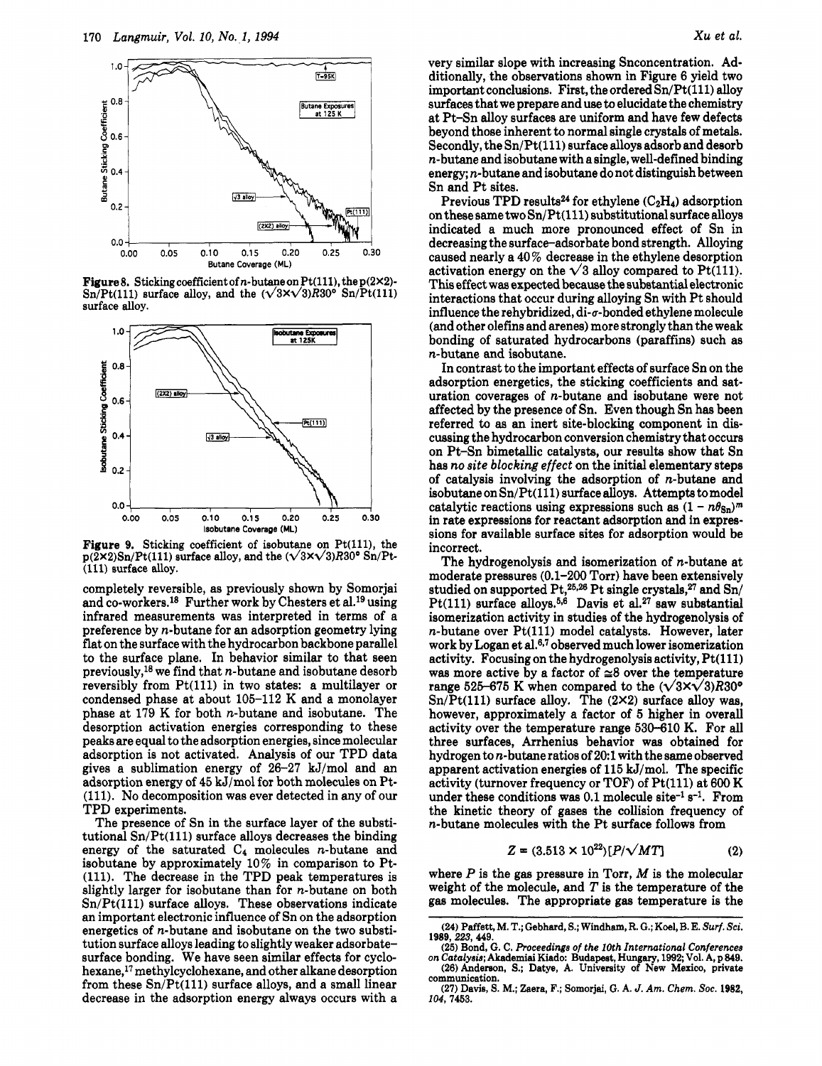

Figure 8. Sticking coefficient of n-butane on Pt(111), the p(2×2)-Sn/Pt(111) surface alloy, and the  $(\sqrt{3x}\sqrt{3})R30^{\circ}$  Sn/Pt(111) surface alloy.



Figure 9. Sticking coefficient of isobutane on Pt(111), the  $p(2 \times 2)$ Sn/Pt(111) surface alloy, and the  $(\sqrt{3} \times \sqrt{3})$ R30° Sn/Pt-(Ill) surface alloy.

completely reversible, as previously shown by Somorjai and co-workers.18 Further work by Chesters et al.19 using infrared measurements was interpreted in terms of <sup>a</sup> preference by n-butane for an adsorption geometry lying flat on the surface with the hydrocarbon backbone parallel to the surface plane. In behavior similar to that seen previously,<sup>18</sup> we find that *n*-butane and isobutane desorb reversibly from Pt(lll) in two states: <sup>a</sup> multilayer or condensed phase at about 105-112 K and <sup>a</sup> monolayer phase at <sup>179</sup> K for both n-butane and isobutane. The desorption activation energies corresponding to these peaks are equal to the adsorption energies, since molecular adsorption is not activated. Analysis of our TPD data gives <sup>a</sup> sublimation energy of 26-27 kJ/mol and an adsorption energy of <sup>45</sup> kJ/mol for both molecules on Pt- (111). No decomposition was ever detected in any of our TPD experiments.

The presence of Sn in the surface layer of the substitutional  $Sn/Pt(111)$  surface alloys decreases the binding energy of the saturated  $C_4$  molecules *n*-butane and isobutane by approximately 10% in comparison to Pt- (111). The decrease in the TPD peak temperatures is slightly larger for isobutane than for n-butane on both  $Sn/Pt(111)$  surface alloys. These observations indicate an important electronic influence of Sn on the adsorption energetics of n-butane and isobutane on the two substitution surface alloys leading to slightly weaker adsorbatesurface bonding. We have seen similar effects for cyclohexane,17 methylcyclohexane, and other alkane desorption from these  $Sn/Pt(111)$  surface alloys, and a small linear decrease in the adsorption energy always occurs with <sup>a</sup>

very similar slope with increasing Snconcentration. Additionally, the observations shown in Figure <sup>6</sup> yield two important conclusions. First, the ordered  $Sn/Pt(111)$  alloy surfaces that we prepare and use to elucidate the chemistry at Pt-Sn alloy surfaces are uniform and have few defects beyond those inherent to normal single crystals of metals. Secondly, the Sn/Pt(lll) surface alloys adsorb and desorb n-butane and isobutane with <sup>a</sup> single, well-defined binding energy; n-butane and isobutane do not distinguish between Sn and Pt sites.

Previous TPD results<sup>24</sup> for ethylene  $(C_2H_4)$  adsorption on these same two  $Sn/Pt(111)$  substitutional surface alloys indicated <sup>a</sup> much more pronounced effect of Sn in decreasing the surface-adsorbate bond strength. Alloying caused nearly <sup>a</sup> 40% decrease in the ethylene desorption activation energy on the  $\sqrt{3}$  alloy compared to Pt(111). This effect was expected because the substantial electronic interactions that occur during alloying Sn with Pt should influence the rehybridized, di- $\sigma$ -bonded ethylene molecule (and other olefins and arenes) more strongly than the weak bonding of saturated hydrocarbons (paraffins) such as n-butane and isobutane.

In contrast to the important effects of surface Sn on the adsorption energetics, the sticking coefficients and saturation coverages of n-butane and isobutane were not affected by the presence of Sn. Even though Sn has been referred to as an inert site-blocking component in discussing the hydrocarbon conversion chemistry that occurs on Pt-Sn bimetallic catalysts, our results show that Sn has no site blocking effect on the initial elementary steps of catalysis involving the adsorption of n-butane and isobutane on  $Sn/Pt(111)$  surface alloys. Attempts to model catalytic reactions using expressions such as  $(1 - n\theta_{\rm Sn})^m$ in rate expressions for reactant adsorption and in expressions for available surface sites for adsorption would be incorrect.

The hydrogenolysis and isomerization of n-butane at moderate pressures (0.1-200 Torr) have been extensively studied on supported Pt,<sup>25,26</sup> Pt single crystals,<sup>27</sup> and Sn/ Pt(111) surface alloys.<sup>5,6</sup> Davis et al.<sup>27</sup> saw substantial isomerization activity in studies of the hydrogenolysis of  $n$ -butane over  $Pt(111)$  model catalysts. However, later work by Logan et al.6·7 observed much lower isomerization activity. Focusing on the hydrogenolysis activity, Pt(lll) was more active by a factor of  $\approx 8$  over the temperature range 525-675 K when compared to the  $(\sqrt{3}x\sqrt{3})R30^{\circ}$  $Sn/Pt(111)$  surface alloy. The  $(2×2)$  surface alloy was, however, approximately <sup>a</sup> factor of <sup>5</sup> higher in overall activity over the temperature range 530-610 K. For all three surfaces, Arrhenius behavior was obtained for hydrogen to n-butane ratios of 20:1 with the same observed apparent activation energies of <sup>115</sup> kJ/mol. The specific activity (turnover frequency or TOF) of Pt(111) at 600 K under these conditions was  $0.1$  molecule site<sup>-1</sup> s<sup>-1</sup>. From the kinetic theory of gases the collision frequency of n-butane molecules with the Pt surface follows from

$$
Z = (3.513 \times 10^{22}) [P/\sqrt{MT}]
$$
 (2)

where  $P$  is the gas pressure in Torr,  $M$  is the molecular weight of the molecule, and  $T$  is the temperature of the gas molecules. The appropriate gas temperature is the

<sup>(24)</sup> Paffett, M. T.; Gebhard, S.; Windham, R. G.; Koel, B. E. Surf. Sci. 1989, 223, 449.

<sup>(25)</sup> Bond, G. C. Proceedings of the 10th International Conferences on Catalysis; Akademiai Kiado: Budapest, Hungary, 1992; Vol. A, p 849. (26) Anderson, S.; Datye, A. University of New Mexico, private communication.

<sup>(27)</sup> Davis, S. M.; Zaera, F.; Somorjai, G. A. J. Am. Chem. Soc. 1982, 104, 7453.